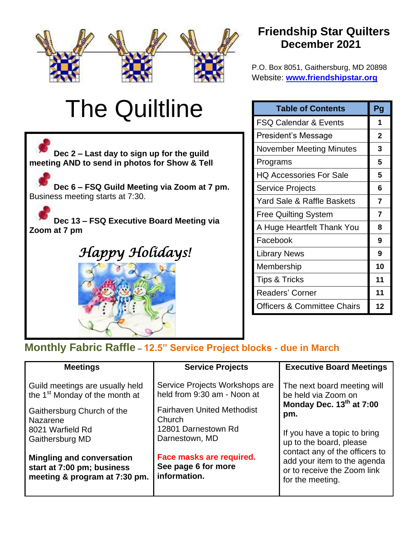

# The Quiltline



# **Friendship Star Quilters December 2021**

P.O. Box 8051, Gaithersburg, MD 20898 Website: **[www.friendshipstar.org](http://www.friendshipstar.org/)**

| <b>Table of Contents</b>               | Pg             |
|----------------------------------------|----------------|
| <b>FSQ Calendar &amp; Events</b>       | 1              |
| President's Message                    | $\overline{2}$ |
| <b>November Meeting Minutes</b>        | 3              |
| Programs                               | 5              |
| <b>HQ Accessories For Sale</b>         | 5              |
| <b>Service Projects</b>                | 6              |
| Yard Sale & Raffle Baskets             | 7              |
| <b>Free Quilting System</b>            | 7              |
| A Huge Heartfelt Thank You             | 8              |
| Facebook                               | 9              |
| <b>Library News</b>                    | 9              |
| Membership                             | 10             |
| <b>Tips &amp; Tricks</b>               | 11             |
| <b>Readers' Corner</b>                 | 11             |
| <b>Officers &amp; Committee Chairs</b> | 12             |

## **Monthly Fabric Raffle** – **12.5" Service Project blocks - due in March**

| <b>Meetings</b>                                                                                                                                                | <b>Service Projects</b>                                                                                                                               | <b>Executive Board Meetings</b>                                                                                                                                                                                                                                      |
|----------------------------------------------------------------------------------------------------------------------------------------------------------------|-------------------------------------------------------------------------------------------------------------------------------------------------------|----------------------------------------------------------------------------------------------------------------------------------------------------------------------------------------------------------------------------------------------------------------------|
| Guild meetings are usually held<br>the 1 <sup>st</sup> Monday of the month at<br>Gaithersburg Church of the<br>Nazarene<br>8021 Warfield Rd<br>Gaithersburg MD | Service Projects Workshops are<br>held from 9:30 am - Noon at<br><b>Fairhaven United Methodist</b><br>Church<br>12801 Darnestown Rd<br>Darnestown, MD | The next board meeting will<br>be held via Zoom on<br>Monday Dec. 13th at 7:00<br>pm.<br>If you have a topic to bring<br>up to the board, please<br>contact any of the officers to<br>add your item to the agenda<br>or to receive the Zoom link<br>for the meeting. |
| <b>Mingling and conversation</b><br>start at 7:00 pm; business<br>meeting & program at 7:30 pm.                                                                | Face masks are required.<br>See page 6 for more<br>information.                                                                                       |                                                                                                                                                                                                                                                                      |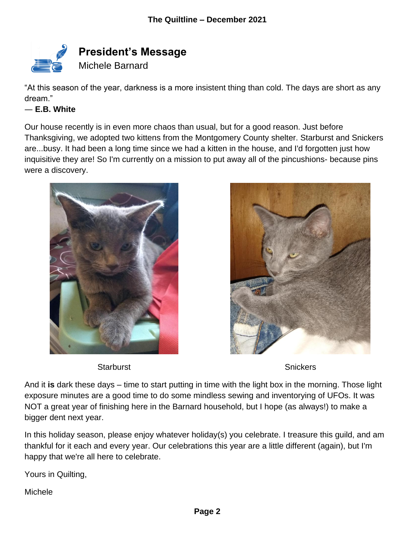

"At this season of the year, darkness is a more insistent thing than cold. The days are short as any dream."

#### ― **E.B. White**

Our house recently is in even more chaos than usual, but for a good reason. Just before Thanksgiving, we adopted two kittens from the Montgomery County shelter. Starburst and Snickers are...busy. It had been a long time since we had a kitten in the house, and I'd forgotten just how inquisitive they are! So I'm currently on a mission to put away all of the pincushions- because pins were a discovery.





Starburst **Starburst** Starburst **Starburst** Starburst **Starburst** Starburst **Starburst** Starburst **Starburst** Starburst **Starburst** Starburst **Starburst** Starburst **Starburst** Starburst **Starburst** Starburst **Starburst** St

And it **is** dark these days – time to start putting in time with the light box in the morning. Those light exposure minutes are a good time to do some mindless sewing and inventorying of UFOs. It was NOT a great year of finishing here in the Barnard household, but I hope (as always!) to make a bigger dent next year.

In this holiday season, please enjoy whatever holiday(s) you celebrate. I treasure this guild, and am thankful for it each and every year. Our celebrations this year are a little different (again), but I'm happy that we're all here to celebrate.

Yours in Quilting,

**Michele**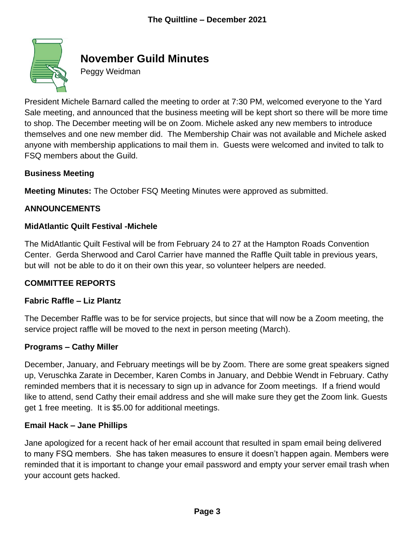

# **November Guild Minutes**

Peggy Weidman

President Michele Barnard called the meeting to order at 7:30 PM, welcomed everyone to the Yard Sale meeting, and announced that the business meeting will be kept short so there will be more time to shop. The December meeting will be on Zoom. Michele asked any new members to introduce themselves and one new member did. The Membership Chair was not available and Michele asked anyone with membership applications to mail them in. Guests were welcomed and invited to talk to FSQ members about the Guild.

#### **Business Meeting**

**Meeting Minutes:** The October FSQ Meeting Minutes were approved as submitted.

#### **ANNOUNCEMENTS**

#### **MidAtlantic Quilt Festival -Michele**

The MidAtlantic Quilt Festival will be from February 24 to 27 at the Hampton Roads Convention Center. Gerda Sherwood and Carol Carrier have manned the Raffle Quilt table in previous years, but will not be able to do it on their own this year, so volunteer helpers are needed.

#### **COMMITTEE REPORTS**

#### **Fabric Raffle – Liz Plantz**

The December Raffle was to be for service projects, but since that will now be a Zoom meeting, the service project raffle will be moved to the next in person meeting (March).

#### **Programs – Cathy Miller**

December, January, and February meetings will be by Zoom. There are some great speakers signed up, Veruschka Zarate in December, Karen Combs in January, and Debbie Wendt in February. Cathy reminded members that it is necessary to sign up in advance for Zoom meetings. If a friend would like to attend, send Cathy their email address and she will make sure they get the Zoom link. Guests get 1 free meeting. It is \$5.00 for additional meetings.

#### **Email Hack – Jane Phillips**

Jane apologized for a recent hack of her email account that resulted in spam email being delivered to many FSQ members. She has taken measures to ensure it doesn't happen again. Members were reminded that it is important to change your email password and empty your server email trash when your account gets hacked.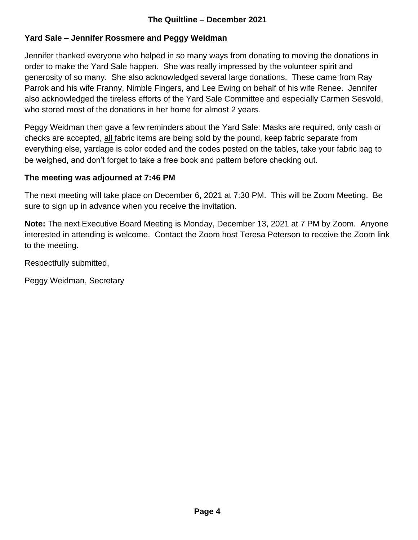#### **Yard Sale – Jennifer Rossmere and Peggy Weidman**

Jennifer thanked everyone who helped in so many ways from donating to moving the donations in order to make the Yard Sale happen. She was really impressed by the volunteer spirit and generosity of so many. She also acknowledged several large donations. These came from Ray Parrok and his wife Franny, Nimble Fingers, and Lee Ewing on behalf of his wife Renee. Jennifer also acknowledged the tireless efforts of the Yard Sale Committee and especially Carmen Sesvold, who stored most of the donations in her home for almost 2 years.

Peggy Weidman then gave a few reminders about the Yard Sale: Masks are required, only cash or checks are accepted, all fabric items are being sold by the pound, keep fabric separate from everything else, yardage is color coded and the codes posted on the tables, take your fabric bag to be weighed, and don't forget to take a free book and pattern before checking out.

#### **The meeting was adjourned at 7:46 PM**

The next meeting will take place on December 6, 2021 at 7:30 PM. This will be Zoom Meeting. Be sure to sign up in advance when you receive the invitation.

**Note:** The next Executive Board Meeting is Monday, December 13, 2021 at 7 PM by Zoom. Anyone interested in attending is welcome. Contact the Zoom host Teresa Peterson to receive the Zoom link to the meeting.

Respectfully submitted,

Peggy Weidman, Secretary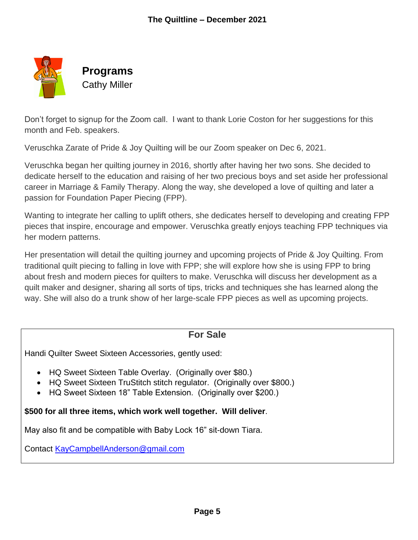

Don't forget to signup for the Zoom call. I want to thank Lorie Coston for her suggestions for this month and Feb. speakers.

Veruschka Zarate of Pride & Joy Quilting will be our Zoom speaker on Dec 6, 2021.

Veruschka began her quilting journey in 2016, shortly after having her two sons. She decided to dedicate herself to the education and raising of her two precious boys and set aside her professional career in Marriage & Family Therapy. Along the way, she developed a love of quilting and later a passion for Foundation Paper Piecing (FPP).

Wanting to integrate her calling to uplift others, she dedicates herself to developing and creating FPP pieces that inspire, encourage and empower. Veruschka greatly enjoys teaching FPP techniques via her modern patterns.

Her presentation will detail the quilting journey and upcoming projects of Pride & Joy Quilting. From traditional quilt piecing to falling in love with FPP; she will explore how she is using FPP to bring about fresh and modern pieces for quilters to make. Veruschka will discuss her development as a quilt maker and designer, sharing all sorts of tips, tricks and techniques she has learned along the way. She will also do a trunk show of her large-scale FPP pieces as well as upcoming projects.

### **For Sale**

Handi Quilter Sweet Sixteen Accessories, gently used:

- HQ Sweet Sixteen Table Overlay. (Originally over \$80.)
- HQ Sweet Sixteen TruStitch stitch regulator. (Originally over \$800.)
- HQ Sweet Sixteen 18" Table Extension. (Originally over \$200.)

**\$500 for all three items, which work well together. Will deliver**.

May also fit and be compatible with Baby Lock 16" sit-down Tiara.

Contact [KayCampbellAnderson@gmail.com](mailto:KayCampbellAnderson@gmail.com)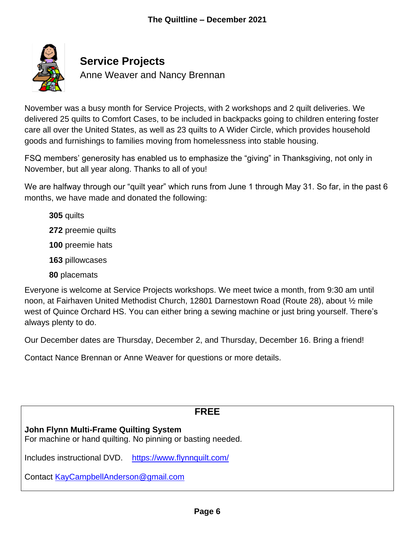

# **Service Projects**

Anne Weaver and Nancy Brennan

November was a busy month for Service Projects, with 2 workshops and 2 quilt deliveries. We delivered 25 quilts to Comfort Cases, to be included in backpacks going to children entering foster care all over the United States, as well as 23 quilts to A Wider Circle, which provides household goods and furnishings to families moving from homelessness into stable housing.

FSQ members' generosity has enabled us to emphasize the "giving" in Thanksgiving, not only in November, but all year along. Thanks to all of you!

We are halfway through our "quilt year" which runs from June 1 through May 31. So far, in the past 6 months, we have made and donated the following:

**305** quilts

**272** preemie quilts

**100** preemie hats

**163** pillowcases

**80** placemats

Everyone is welcome at Service Projects workshops. We meet twice a month, from 9:30 am until noon, at Fairhaven United Methodist Church, 12801 Darnestown Road (Route 28), about ½ mile west of Quince Orchard HS. You can either bring a sewing machine or just bring yourself. There's always plenty to do.

Our December dates are Thursday, December 2, and Thursday, December 16. Bring a friend!

Contact Nance Brennan or Anne Weaver for questions or more details.

## **FREE**

#### **John Flynn Multi-Frame Quilting System**

For machine or hand quilting. No pinning or basting needed.

Includes instructional DVD. <https://www.flynnquilt.com/>

Contact [KayCampbellAnderson@gmail.com](mailto:KayCampbellAnderson@gmail.com)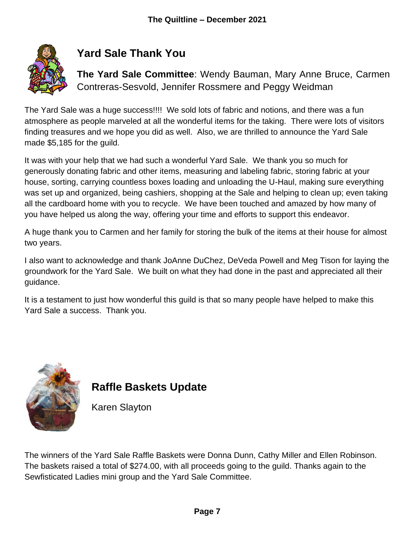

# **Yard Sale Thank You**

**The Yard Sale Committee**: Wendy Bauman, Mary Anne Bruce, Carmen Contreras-Sesvold, Jennifer Rossmere and Peggy Weidman

The Yard Sale was a huge success!!!! We sold lots of fabric and notions, and there was a fun atmosphere as people marveled at all the wonderful items for the taking. There were lots of visitors finding treasures and we hope you did as well. Also, we are thrilled to announce the Yard Sale made \$5,185 for the guild.

It was with your help that we had such a wonderful Yard Sale. We thank you so much for generously donating fabric and other items, measuring and labeling fabric, storing fabric at your house, sorting, carrying countless boxes loading and unloading the U-Haul, making sure everything was set up and organized, being cashiers, shopping at the Sale and helping to clean up; even taking all the cardboard home with you to recycle. We have been touched and amazed by how many of you have helped us along the way, offering your time and efforts to support this endeavor.

A huge thank you to Carmen and her family for storing the bulk of the items at their house for almost two years.

I also want to acknowledge and thank JoAnne DuChez, DeVeda Powell and Meg Tison for laying the groundwork for the Yard Sale. We built on what they had done in the past and appreciated all their guidance.

It is a testament to just how wonderful this guild is that so many people have helped to make this Yard Sale a success. Thank you.



# **Raffle Baskets Update**

Karen Slayton

The winners of the Yard Sale Raffle Baskets were Donna Dunn, Cathy Miller and Ellen Robinson. The baskets raised a total of \$274.00, with all proceeds going to the guild. Thanks again to the Sewfisticated Ladies mini group and the Yard Sale Committee.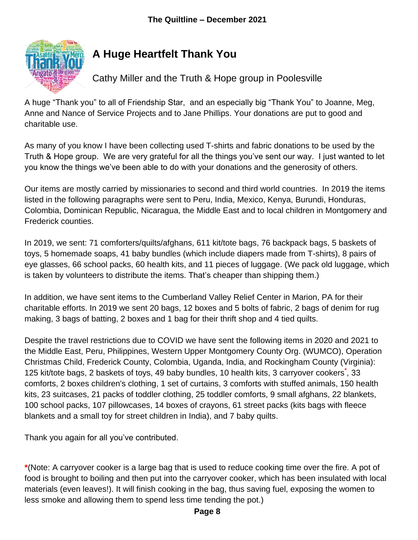

# **A Huge Heartfelt Thank You**

Cathy Miller and the Truth & Hope group in Poolesville

A huge "Thank you" to all of Friendship Star, and an especially big "Thank You" to Joanne, Meg, Anne and Nance of Service Projects and to Jane Phillips. Your donations are put to good and charitable use.

As many of you know I have been collecting used T-shirts and fabric donations to be used by the Truth & Hope group. We are very grateful for all the things you've sent our way. I just wanted to let you know the things we've been able to do with your donations and the generosity of others.

Our items are mostly carried by missionaries to second and third world countries. In 2019 the items listed in the following paragraphs were sent to Peru, India, Mexico, Kenya, Burundi, Honduras, Colombia, Dominican Republic, Nicaragua, the Middle East and to local children in Montgomery and Frederick counties.

In 2019, we sent: 71 comforters/quilts/afghans, 611 kit/tote bags, 76 backpack bags, 5 baskets of toys, 5 homemade soaps, 41 baby bundles (which include diapers made from T-shirts), 8 pairs of eye glasses, 66 school packs, 60 health kits, and 11 pieces of luggage. (We pack old luggage, which is taken by volunteers to distribute the items. That's cheaper than shipping them.)

In addition, we have sent items to the Cumberland Valley Relief Center in Marion, PA for their charitable efforts. In 2019 we sent 20 bags, 12 boxes and 5 bolts of fabric, 2 bags of denim for rug making, 3 bags of batting, 2 boxes and 1 bag for their thrift shop and 4 tied quilts.

Despite the travel restrictions due to COVID we have sent the following items in 2020 and 2021 to the Middle East, Peru, Philippines, Western Upper Montgomery County Org. (WUMCO), Operation Christmas Child, Frederick County, Colombia, Uganda, India, and Rockingham County (Virginia): 125 kit/tote bags, 2 baskets of toys, 49 baby bundles, 10 health kits, 3 carryover cookers**\*** , 33 comforts, 2 boxes children's clothing, 1 set of curtains, 3 comforts with stuffed animals, 150 health kits, 23 suitcases, 21 packs of toddler clothing, 25 toddler comforts, 9 small afghans, 22 blankets, 100 school packs, 107 pillowcases, 14 boxes of crayons, 61 street packs (kits bags with fleece blankets and a small toy for street children in India), and 7 baby quilts.

Thank you again for all you've contributed.

**\***(Note: A carryover cooker is a large bag that is used to reduce cooking time over the fire. A pot of food is brought to boiling and then put into the carryover cooker, which has been insulated with local materials (even leaves!). It will finish cooking in the bag, thus saving fuel, exposing the women to less smoke and allowing them to spend less time tending the pot.)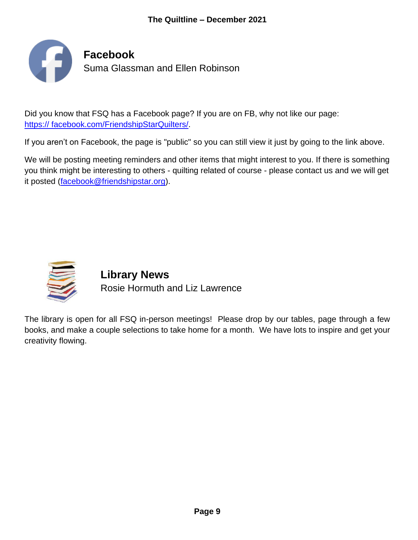

Did you know that FSQ has a Facebook page? If you are on FB, why not like our page: [https:// facebook.com/FriendshipStarQuilters/.](http://www.facebook.com/FriendshipStarQuilters/)

If you aren't on Facebook, the page is "public" so you can still view it just by going to the link above.

We will be posting meeting reminders and other items that might interest to you. If there is something you think might be interesting to others - quilting related of course - please contact us and we will get it posted [\(facebook@friendshipstar.org\)](mailto:facebook@friendshipstar.org).



**Library News** Rosie Hormuth and Liz Lawrence

The library is open for all FSQ in-person meetings! Please drop by our tables, page through a few books, and make a couple selections to take home for a month. We have lots to inspire and get your creativity flowing.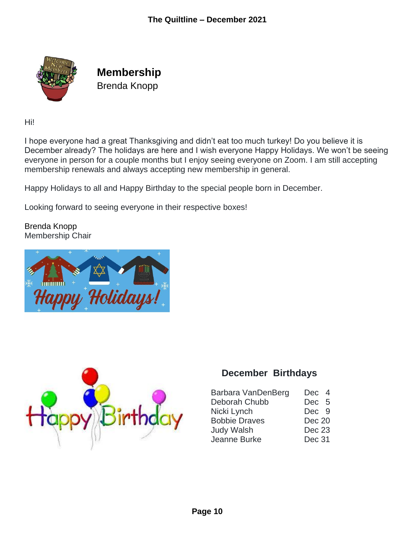

**Membership** Brenda Knopp

Hi!

I hope everyone had a great Thanksgiving and didn't eat too much turkey! Do you believe it is December already? The holidays are here and I wish everyone Happy Holidays. We won't be seeing everyone in person for a couple months but I enjoy seeing everyone on Zoom. I am still accepting membership renewals and always accepting new membership in general.

Happy Holidays to all and Happy Birthday to the special people born in December.

Looking forward to seeing everyone in their respective boxes!

Brenda Knopp Membership Chair





## **December Birthdays**

| Barbara VanDenBerg   | Dec 4             |
|----------------------|-------------------|
| Deborah Chubb        | Dec 5             |
| Nicki Lynch          | Dec 9             |
| <b>Bobbie Draves</b> | <b>Dec 20</b>     |
| <b>Judy Walsh</b>    | Dec <sub>23</sub> |
| Jeanne Burke         | Dec 31            |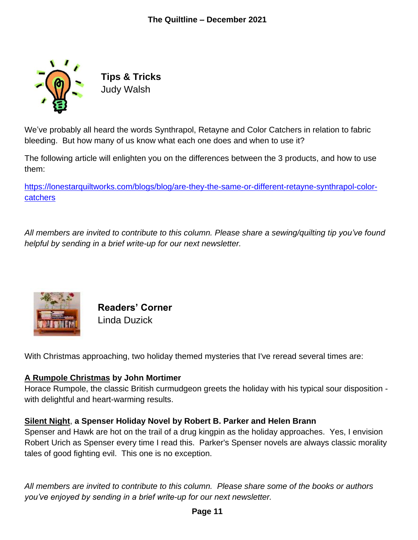

**Tips & Tricks** Judy Walsh

We've probably all heard the words Synthrapol, Retayne and Color Catchers in relation to fabric bleeding. But how many of us know what each one does and when to use it?

The following article will enlighten you on the differences between the 3 products, and how to use them:

[https://lonestarquiltworks.com/blogs/blog/are-they-the-same-or-different-retayne-synthrapol-color](https://lonestarquiltworks.com/blogs/blog/are-they-the-same-or-different-retayne-synthrapol-color-catchers)[catchers](https://lonestarquiltworks.com/blogs/blog/are-they-the-same-or-different-retayne-synthrapol-color-catchers)

*All members are invited to contribute to this column. Please share a sewing/quilting tip you've found helpful by sending in a brief write-up for our next newsletter.*



**Readers' Corner** Linda Duzick

With Christmas approaching, two holiday themed mysteries that I've reread several times are:

#### **A Rumpole Christmas by John Mortimer**

Horace Rumpole, the classic British curmudgeon greets the holiday with his typical sour disposition with delightful and heart-warming results.

#### **Silent Night**, **a Spenser Holiday Novel by Robert B. Parker and Helen Brann**

Spenser and Hawk are hot on the trail of a drug kingpin as the holiday approaches. Yes, I envision Robert Urich as Spenser every time I read this. Parker's Spenser novels are always classic morality tales of good fighting evil. This one is no exception.

*All members are invited to contribute to this column. Please share some of the books or authors you've enjoyed by sending in a brief write-up for our next newsletter.*